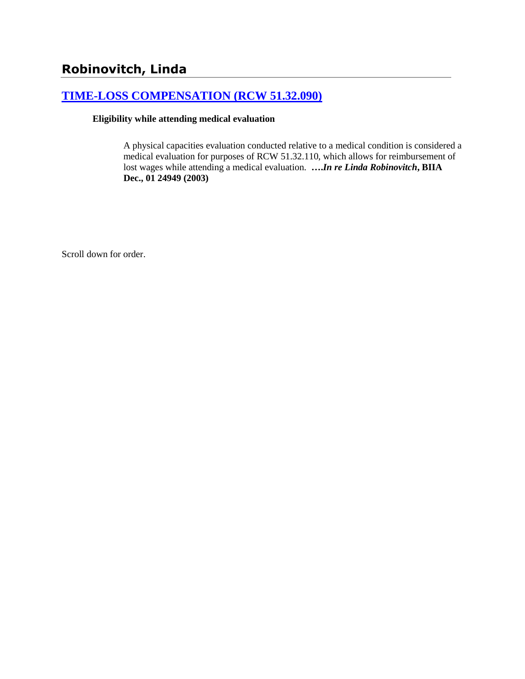# **Robinovitch, Linda**

### **[TIME-LOSS COMPENSATION \(RCW 51.32.090\)](http://www.biia.wa.gov/SDSubjectIndex.html#TIME_LOSS_COMPENSATION)**

### **Eligibility while attending medical evaluation**

A physical capacities evaluation conducted relative to a medical condition is considered a medical evaluation for purposes of RCW 51.32.110, which allows for reimbursement of lost wages while attending a medical evaluation. **….***In re Linda Robinovitch***, BIIA Dec., 01 24949 (2003)** 

Scroll down for order.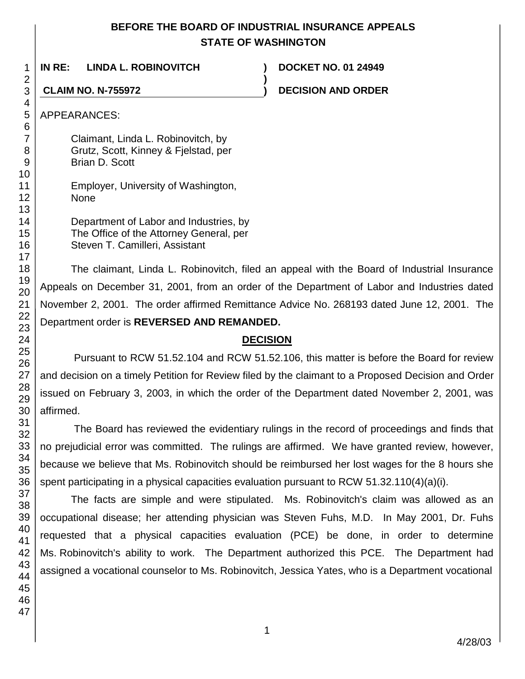### **BEFORE THE BOARD OF INDUSTRIAL INSURANCE APPEALS STATE OF WASHINGTON**

**)**

**IN RE: LINDA L. ROBINOVITCH ) DOCKET NO. 01 24949**

**CLAIM NO. N-755972 ) DECISION AND ORDER**

Claimant, Linda L. Robinovitch, by Grutz, Scott, Kinney & Fjelstad, per Brian D. Scott

| Department of Labor and Industries, by  |
|-----------------------------------------|
| The Office of the Attorney General, per |
| Steven T. Camilleri, Assistant          |

The claimant, Linda L. Robinovitch, filed an appeal with the Board of Industrial Insurance Appeals on December 31, 2001, from an order of the Department of Labor and Industries dated November 2, 2001. The order affirmed Remittance Advice No. 268193 dated June 12, 2001. The Department order is **REVERSED AND REMANDED.**

## **DECISION**

Pursuant to RCW 51.52.104 and RCW 51.52.106, this matter is before the Board for review and decision on a timely Petition for Review filed by the claimant to a Proposed Decision and Order issued on February 3, 2003, in which the order of the Department dated November 2, 2001, was affirmed.

The Board has reviewed the evidentiary rulings in the record of proceedings and finds that no prejudicial error was committed. The rulings are affirmed. We have granted review, however, because we believe that Ms. Robinovitch should be reimbursed her lost wages for the 8 hours she spent participating in a physical capacities evaluation pursuant to RCW 51.32.110(4)(a)(i).

The facts are simple and were stipulated. Ms. Robinovitch's claim was allowed as an occupational disease; her attending physician was Steven Fuhs, M.D. In May 2001, Dr. Fuhs requested that a physical capacities evaluation (PCE) be done, in order to determine Ms. Robinovitch's ability to work. The Department authorized this PCE. The Department had assigned a vocational counselor to Ms. Robinovitch, Jessica Yates, who is a Department vocational

1 2

Employer, University of Washington, None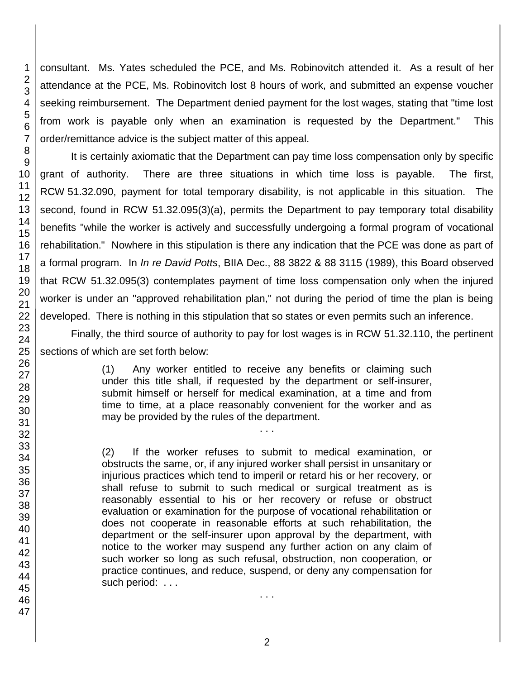consultant. Ms. Yates scheduled the PCE, and Ms. Robinovitch attended it. As a result of her attendance at the PCE, Ms. Robinovitch lost 8 hours of work, and submitted an expense voucher seeking reimbursement. The Department denied payment for the lost wages, stating that "time lost from work is payable only when an examination is requested by the Department." This order/remittance advice is the subject matter of this appeal.

It is certainly axiomatic that the Department can pay time loss compensation only by specific grant of authority. There are three situations in which time loss is payable. The first, RCW 51.32.090, payment for total temporary disability, is not applicable in this situation. The second, found in RCW 51.32.095(3)(a), permits the Department to pay temporary total disability benefits "while the worker is actively and successfully undergoing a formal program of vocational rehabilitation." Nowhere in this stipulation is there any indication that the PCE was done as part of a formal program. In *In re David Potts*, BIIA Dec., 88 3822 & 88 3115 (1989), this Board observed that RCW 51.32.095(3) contemplates payment of time loss compensation only when the injured worker is under an "approved rehabilitation plan," not during the period of time the plan is being developed. There is nothing in this stipulation that so states or even permits such an inference.

Finally, the third source of authority to pay for lost wages is in RCW 51.32.110, the pertinent sections of which are set forth below:

> (1) Any worker entitled to receive any benefits or claiming such under this title shall, if requested by the department or self-insurer, submit himself or herself for medical examination, at a time and from time to time, at a place reasonably convenient for the worker and as may be provided by the rules of the department.

> > . . .

(2) If the worker refuses to submit to medical examination, or obstructs the same, or, if any injured worker shall persist in unsanitary or injurious practices which tend to imperil or retard his or her recovery, or shall refuse to submit to such medical or surgical treatment as is reasonably essential to his or her recovery or refuse or obstruct evaluation or examination for the purpose of vocational rehabilitation or does not cooperate in reasonable efforts at such rehabilitation, the department or the self-insurer upon approval by the department, with notice to the worker may suspend any further action on any claim of such worker so long as such refusal, obstruction, non cooperation, or practice continues, and reduce, suspend, or deny any compensation for such period: ...

1

. . .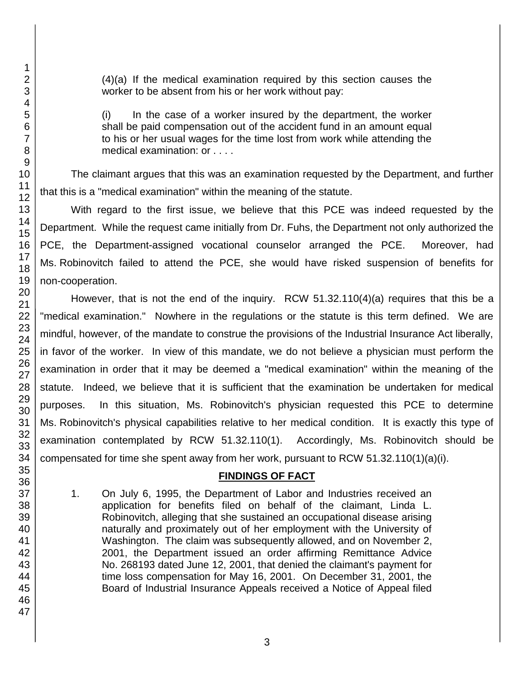(4)(a) If the medical examination required by this section causes the worker to be absent from his or her work without pay:

(i) In the case of a worker insured by the department, the worker shall be paid compensation out of the accident fund in an amount equal to his or her usual wages for the time lost from work while attending the medical examination: or . . . .

The claimant argues that this was an examination requested by the Department, and further that this is a "medical examination" within the meaning of the statute.

With regard to the first issue, we believe that this PCE was indeed requested by the Department. While the request came initially from Dr. Fuhs, the Department not only authorized the PCE, the Department-assigned vocational counselor arranged the PCE. Moreover, had Ms. Robinovitch failed to attend the PCE, she would have risked suspension of benefits for non-cooperation.

However, that is not the end of the inquiry. RCW 51.32.110(4)(a) requires that this be a "medical examination." Nowhere in the regulations or the statute is this term defined. We are mindful, however, of the mandate to construe the provisions of the Industrial Insurance Act liberally, in favor of the worker. In view of this mandate, we do not believe a physician must perform the examination in order that it may be deemed a "medical examination" within the meaning of the statute. Indeed, we believe that it is sufficient that the examination be undertaken for medical purposes. In this situation, Ms. Robinovitch's physician requested this PCE to determine Ms. Robinovitch's physical capabilities relative to her medical condition. It is exactly this type of examination contemplated by RCW 51.32.110(1). Accordingly, Ms. Robinovitch should be compensated for time she spent away from her work, pursuant to RCW 51.32.110(1)(a)(i).

### **FINDINGS OF FACT**

1. On July 6, 1995, the Department of Labor and Industries received an application for benefits filed on behalf of the claimant, Linda L. Robinovitch, alleging that she sustained an occupational disease arising naturally and proximately out of her employment with the University of Washington. The claim was subsequently allowed, and on November 2, 2001, the Department issued an order affirming Remittance Advice No. 268193 dated June 12, 2001, that denied the claimant's payment for time loss compensation for May 16, 2001. On December 31, 2001, the Board of Industrial Insurance Appeals received a Notice of Appeal filed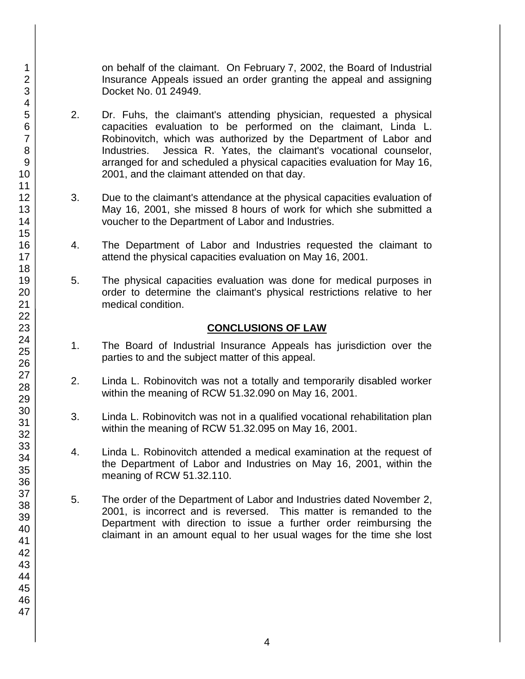on behalf of the claimant. On February 7, 2002, the Board of Industrial Insurance Appeals issued an order granting the appeal and assigning Docket No. 01 24949.

- 2. Dr. Fuhs, the claimant's attending physician, requested a physical capacities evaluation to be performed on the claimant, Linda L. Robinovitch, which was authorized by the Department of Labor and Industries. Jessica R. Yates, the claimant's vocational counselor, arranged for and scheduled a physical capacities evaluation for May 16, 2001, and the claimant attended on that day.
- 3. Due to the claimant's attendance at the physical capacities evaluation of May 16, 2001, she missed 8 hours of work for which she submitted a voucher to the Department of Labor and Industries.
- 4. The Department of Labor and Industries requested the claimant to attend the physical capacities evaluation on May 16, 2001.
- 5. The physical capacities evaluation was done for medical purposes in order to determine the claimant's physical restrictions relative to her medical condition.

### **CONCLUSIONS OF LAW**

- 1. The Board of Industrial Insurance Appeals has jurisdiction over the parties to and the subject matter of this appeal.
- 2. Linda L. Robinovitch was not a totally and temporarily disabled worker within the meaning of RCW 51.32.090 on May 16, 2001.
- 3. Linda L. Robinovitch was not in a qualified vocational rehabilitation plan within the meaning of RCW 51.32.095 on May 16, 2001.
- 4. Linda L. Robinovitch attended a medical examination at the request of the Department of Labor and Industries on May 16, 2001, within the meaning of RCW 51.32.110.
- 5. The order of the Department of Labor and Industries dated November 2, 2001, is incorrect and is reversed. This matter is remanded to the Department with direction to issue a further order reimbursing the claimant in an amount equal to her usual wages for the time she lost